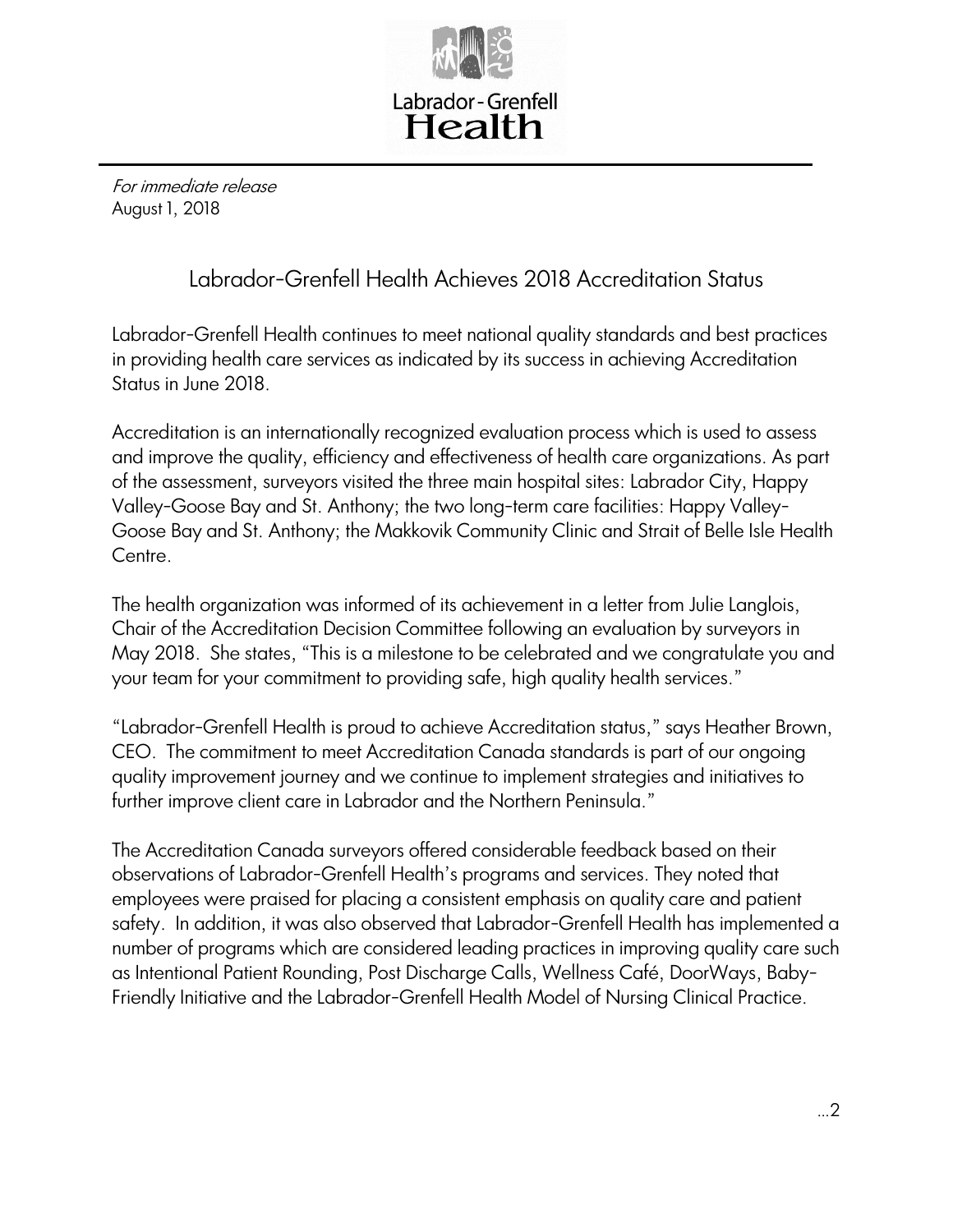

For immediate release August 1, 2018

## Labrador-Grenfell Health Achieves 2018 Accreditation Status

Labrador-Grenfell Health continues to meet national quality standards and best practices in providing health care services as indicated by its success in achieving Accreditation Status in June 2018.

Accreditation is an internationally recognized evaluation process which is used to assess and improve the quality, efficiency and effectiveness of health care organizations. As part of the assessment, surveyors visited the three main hospital sites: Labrador City, Happy Valley-Goose Bay and St. Anthony; the two long-term care facilities: Happy Valley-Goose Bay and St. Anthony; the Makkovik Community Clinic and Strait of Belle Isle Health Centre.

The health organization was informed of its achievement in a letter from Julie Langlois, Chair of the Accreditation Decision Committee following an evaluation by surveyors in May 2018. She states, "This is a milestone to be celebrated and we congratulate you and your team for your commitment to providing safe, high quality health services."

"Labrador-Grenfell Health is proud to achieve Accreditation status," says Heather Brown, CEO. The commitment to meet Accreditation Canada standards is part of our ongoing quality improvement journey and we continue to implement strategies and initiatives to further improve client care in Labrador and the Northern Peninsula."

The Accreditation Canada surveyors offered considerable feedback based on their observations of Labrador-Grenfell Health's programs and services. They noted that employees were praised for placing a consistent emphasis on quality care and patient safety. In addition, it was also observed that Labrador-Grenfell Health has implemented a number of programs which are considered leading practices in improving quality care such as Intentional Patient Rounding, Post Discharge Calls, Wellness Café, DoorWays, Baby-Friendly Initiative and the Labrador-Grenfell Health Model of Nursing Clinical Practice.